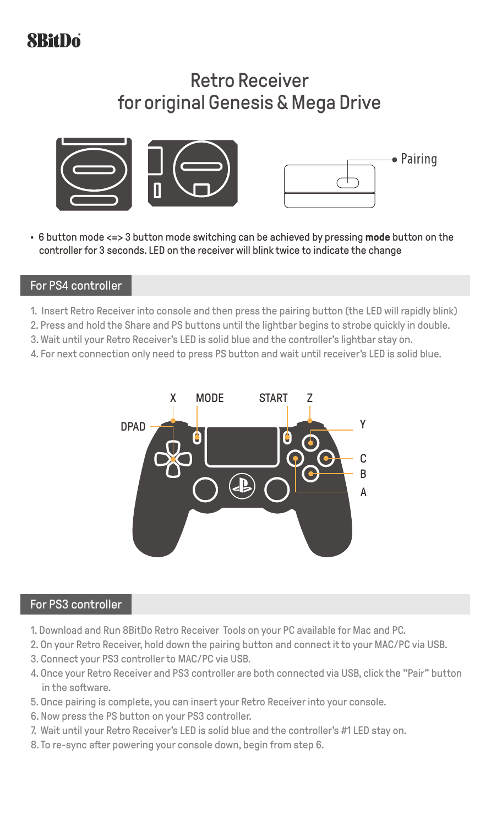# **SBitDo**

## Retro Receiver for original Genesis & Mega Drive





• 6 button mode <=> 3 button mode switching can be achieved by pressing **mode** button on the controller for 3 seconds. LED on the receiver will blink twice to indicate the change

### For PS4 controller

- 1. Insert Retro Receiver into console and then press the pairing button (the LED will rapidly blink)
- 2. Press and hold the Share and PS buttons until the lightbar begins to strobe quickly in double.
- 3. Wait until your Retro Receiver's LED is solid blue and the controller's lightbar stay on.
- 4. For next connection only need to press PS button and wait until receiver's LED is solid blue.



### For PS3 controller

- 1. Download and Run 8BitDo Retro Receiver Tools on your PC available for Mac and PC.
- 2. On your Retro Receiver, hold down the pairing button and connect it to your MAC/PC via USB.
- 3. Connect your PS3 controllerto MAC/PC via USB.
- 4. Once your Retro Receiver and PS3 controller are both connected via USB, click the "Pair" button in the software.
- 5. Once pairing is complete, you can insert your Retro Receiver into your console.
- 6. Now press the PS button on your PS3 controller.
- 7. Wait until your Retro Receiver's LED is solid blue and the controller's #1 LED stay on.
- 8. To re-sync after powering your console down, begin from step 6.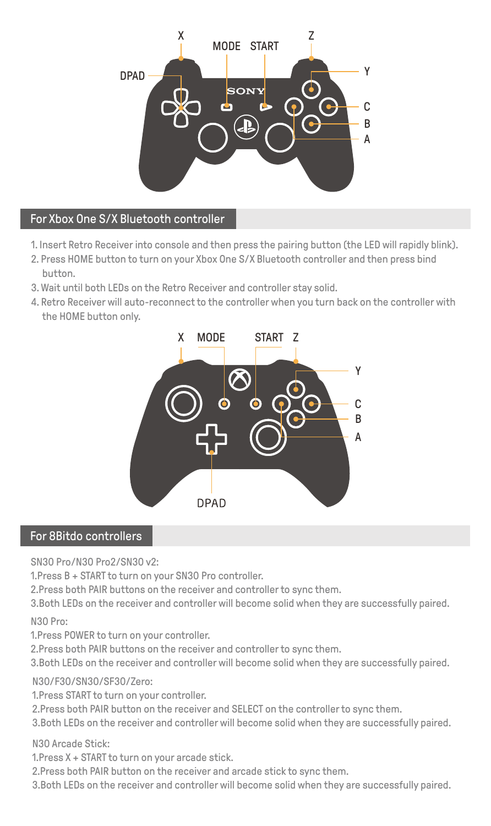

### For Xbox One S/X Bluetooth controller

- 1. Insert Retro Receiver into console and then press the pairing button (the LED will rapidly blink).
- 2. Press HOME button to turn on your Xbox One S/X Bluetooth controller and then press bind button.
- 3. Wait until both LEDs on the Retro Receiver and controller stay solid.
- 4. Retro Receiver will auto-reconnect to the controller when you turn back on the controller with the HOME button only.



### For 8Bitdo controllers

SN30 Pro/N30 Pro2/SN30 v2:

1. Press B + START to turn on your SN30 Pro controller.

2. Press both PAIR buttons on the receiver and controller to sync them.

3. Both LEDs on the receiver and controllerwill become solid when they are successfully paired. N30 Pro:

1. Press POWER to turn on your controller.

2. Press both PAIR buttons on the receiver and controllerto sync them.

3. Both LEDs on the receiver and controllerwill become solid when they are successfully paired.

### N30/F30/SN30/SF30/Zero:

1. Press START to turn on your controller.

2. Press both PAIR button on the receiver and SELECT on the controller to sync them.

3. Both LEDs on the receiver and controllerwill become solid when they are successfully paired.

N30 Arcade Stick:

1. Press X + START to turn on your arcade stick.

2. Press both PAIR button on the receiver and arcade stick to sync them.

3. Both LEDs on the receiver and controllerwill become solid when they are successfully paired.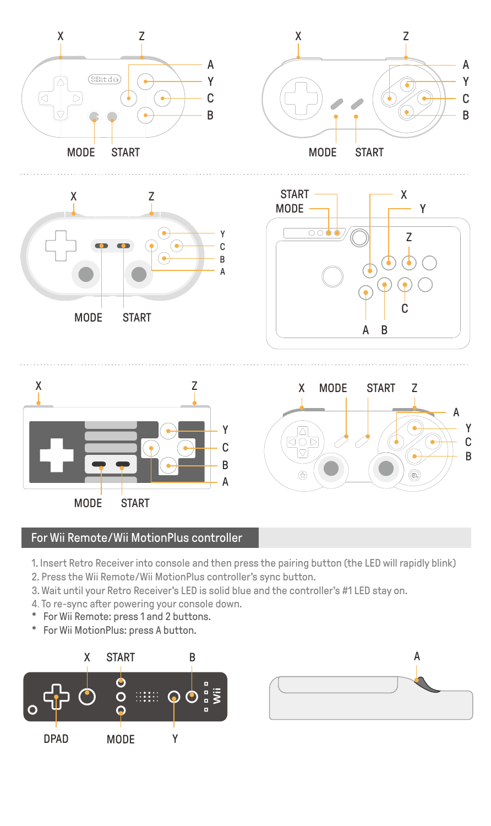

## For Wii Remote/Wii MotionPlus controller

- 1. Insert Retro Receiver into console and then press the pairing button (the LED will rapidly blink)
- 2. Press the Wii Remote/Wii MotionPlus controller's sync button.
- 3. Wait until your Retro Receiver's LED is solid blue and the controller's #1 LED stay on.
- 4. To re-sync after powering your console down.
- \* For Wii Remote: press 1 and 2 buttons.
- \* For Wii MotionPlus: press A button.



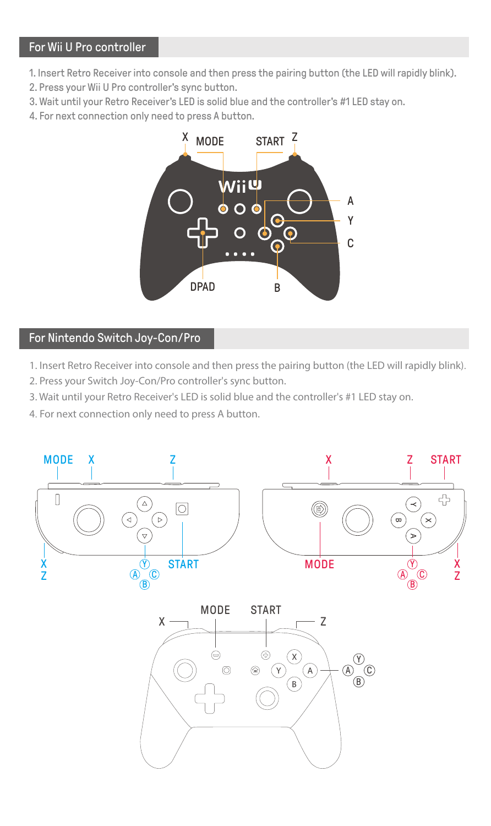### For Wii U Pro controller

- 1. Insert Retro Receiver into console and then press the pairing button (the LED will rapidly blink).
- 2. Press your Wii U Pro controller's sync button.
- 3. Wait until your Retro Receiver's LED is solid blue and the controller's #1 LED stay on.
- 4. For next connection only need to press A button.



## For Nintendo Switch Joy-Con/Pro

- 1. Insert Retro Receiver into console and then press the pairing button (the LED will rapidly blink).
- 2. Press your Switch Joy-Con/Pro controller's sync button.
- 3. Wait until your Retro Receiver's LED is solid blue and the controller's #1 LED stay on.
- 4. For next connection only need to press A button.

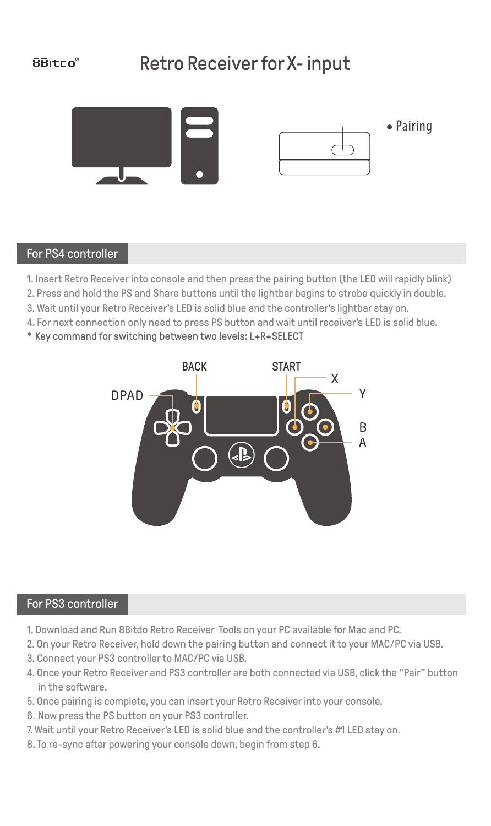# Retro Receiver for X- input





### For PS4 controller

1. Insert Retro Receiver into console and then press the pairing button (the LED will rapidly blink)

2. Press and hold the PS and Share buttons until the lightbar begins to strobe quickly in double.

3. Wait until your Retro Receiver's LED is solid blue and the controller's lightbar stay on.

- 4. For next connection only need to press PS button and wait until receiver's LED is solid blue.
- \* Key command for switching between two levels: L+R+SELECT



### For PS3 controller

- 1. Download and Run 8Bitdo Retro Receiver Tools on your PC available for Mac and PC.
- 2. On your Retro Receiver, hold down the pairing button and connect it to your MAC/PC via USB.
- 3. Connect your PS3 controllerto MAC/PC via USB.
- 4. Once your Retro Receiver and PS3 controller are both connected via USB, click the "Pair" button in the software.
- 5. Once pairing is complete, you can insert your Retro Receiver into your console.
- 6.Now press the PS button on your PS3 controller.
- 7. Wait until your Retro Receiver's LED is solid blue and the controller's #1 LED stay on.
- 8. To re-sync after powering your console down, begin from step 6.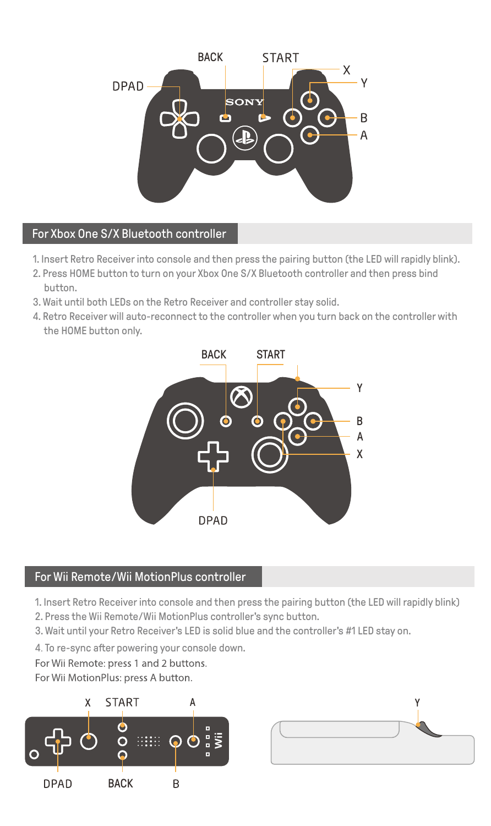

### For Xbox One S/X Bluetooth controller

- 1. Insert Retro Receiver into console and then press the pairing button (the LED will rapidly blink).
- 2. Press HOME button to turn on your Xbox One S/X Bluetooth controller and then press bind button.
- 3. Wait until both LEDs on the Retro Receiver and controller stay solid.
- 4. Retro Receiver will auto-reconnect to the controller when you turn back on the controller with the HOME button only.



### For Wii Remote/Wii MotionPlus controller

1. Insert Retro Receiver into console and then press the pairing button (the LED will rapidly blink)

- 2. Press the Wii Remote/Wii MotionPlus controller's sync button.
- 3. Wait until your Retro Receiver's LED is solid blue and the controller's #1 LED stay on.
- 4. To re-sync after powering your console down.

For Wii Remote: press 1 and 2 buttons.

For Wii MotionPlus: press A button.



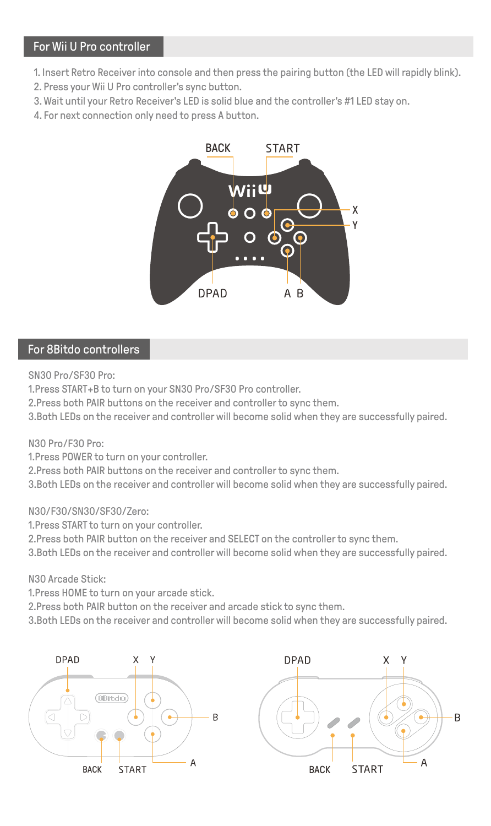### For Wii U Pro controller

- 1. Insert Retro Receiver into console and then press the pairing button (the LED will rapidly blink).
- 2. Press your Wii U Pro controller's sync button.
- 3. Wait until your Retro Receiver's LED is solid blue and the controller's #1 LED stay on.
- 4. For next connection only need to press A button.



### For 8Bitdo controllers

SN30 Pro/SF30 Pro:

1. Press START+B to turn on your SN30 Pro/SF30 Pro controller.

- 2. Press both PAIR buttons on the receiver and controller to sync them.
- 3. Both LEDs on the receiver and controllerwill become solid when they are successfully paired.

### N30 Pro/F30 Pro:

1. Press POWER to turn on your controller.

2. Press both PAIR buttons on the receiver and controller to sync them.

3. Both LEDs on the receiver and controllerwill become solid when they are successfully paired.

### N30/F30/SN30/SF30/Zero:

1. Press START to turn on your controller.

2. Press both PAIR button on the receiver and SELECT on the controllerto sync them.

3. Both LEDs on the receiver and controllerwill become solid when they are successfully paired.

N30 Arcade Stick:

1. Press HOME to turn on your arcade stick.

2. Press both PAIR button on the receiver and arcade stick to sync them.

3. Both LEDs on the receiver and controllerwill become solid when they are successfully paired.